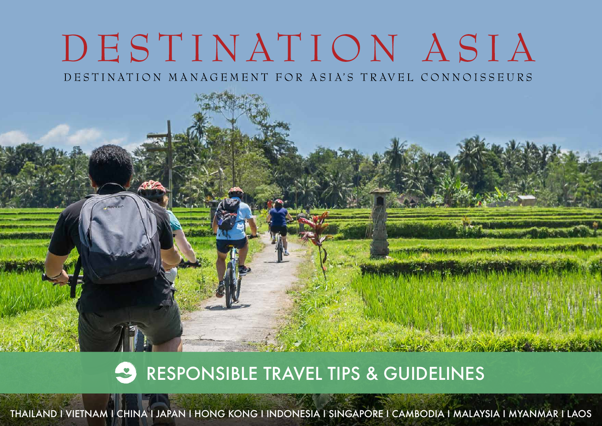# DESTINATION ASIA

DESTINATION MANAGEMENT FOR ASIA'S TRAVEL CONNOISSEURS

## **RESPONSIBLE TRAVEL TIPS & GUIDELINES**

THAILAND I VIETNAM I CHINA I JAPAN I HONG KONG I INDONESIA I SINGAPORE I CAMBODIA I MALAYSIA I MYANMAR I LAOS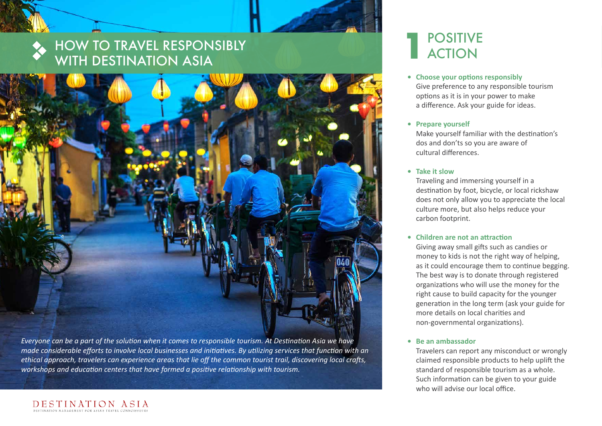## HOW TO TRAVEL RESPONSIBLY WITH DESTINATION ASIA



*Everyone can be a part of the solution when it comes to responsible tourism. At Destination Asia we have made considerable efforts to involve local businesses and initiatives. By utilizing services that function with an ethical approach, travelers can experience areas that lie off the common tourist trail, discovering local crafts, workshops and education centers that have formed a positive relationship with tourism.*

## POSITIVE **1** ACTION

- **• Choose your options responsibly** Give preference to any responsible tourism options as it is in your power to make a difference. Ask your guide for ideas.
- **• Prepare yourself**

 Make yourself familiar with the destination's dos and don'ts so you are aware of cultural differences.

**• Take it slow**

 Traveling and immersing yourself in a destination by foot, bicycle, or local rickshaw does not only allow you to appreciate the local culture more, but also helps reduce your carbon footprint.

#### **• Children are not an attraction**

 Giving away small gifts such as candies or money to kids is not the right way of helping, as it could encourage them to continue begging. The best way is to donate through registered organizations who will use the money for the right cause to build capacity for the younger generation in the long term (ask your guide for more details on local charities and non-governmental organizations).

#### **• Be an ambassador**

Travelers can report any misconduct or wrongly claimed responsible products to help uplift the standard of responsible tourism as a whole. Such information can be given to your guide who will advise our local office.

### DESTINATION ASIA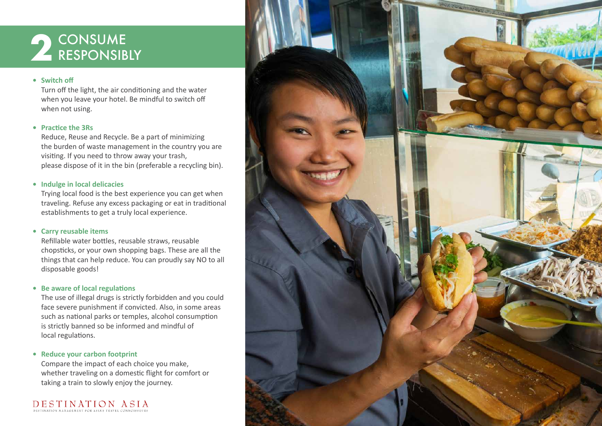## **2** CONSUME<br>RESPONSIBLY

#### **• Switch off**

 Turn off the light, the air conditioning and the water when you leave your hotel. Be mindful to switch off when not using.

#### **• Practice the 3Rs**

 Reduce, Reuse and Recycle. Be a part of minimizing the burden of waste management in the country you are visiting. If you need to throw away your trash, please dispose of it in the bin (preferable a recycling bin).

#### **• Indulge in local delicacies**

 Trying local food is the best experience you can get when traveling. Refuse any excess packaging or eat in traditional establishments to get a truly local experience.

#### **• Carry reusable items**

 Refillable water bottles, reusable straws, reusable chopsticks, or your own shopping bags. These are all the things that can help reduce. You can proudly say NO to all disposable goods!

#### **• Be aware of local regulations**

 The use of illegal drugs is strictly forbidden and you could face severe punishment if convicted. Also, in some areas such as national parks or temples, alcohol consumption is strictly banned so be informed and mindful of local regulations.

#### **• Reduce your carbon footprint**

 Compare the impact of each choice you make, whether traveling on a domestic flight for comfort or taking a train to slowly enjoy the journey.

DESTINATION ASIA

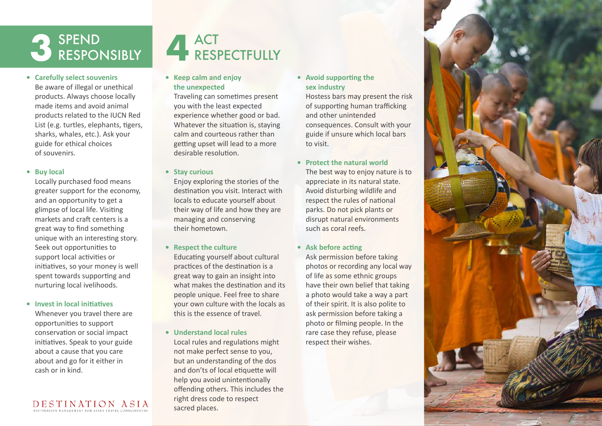

**• Carefully select souvenirs**

 Be aware of illegal or unethical products. Always choose locally made items and avoid animal products related to the IUCN Red List (e.g. turtles, elephants, tigers, sharks, whales, etc.). Ask your guide for ethical choices of souvenirs.

#### **• Buy local**

 Locally purchased food means greater support for the economy, and an opportunity to get a glimpse of local life. Visiting markets and craft centers is a great way to find something unique with an interesting story. Seek out opportunities to support local activities or initiatives, so your money is well spent towards supporting and nurturing local ivelihoods.

#### **• Invest in local initiatives**

 Whenever you travel there are opportunities to support conservation or social impact initiatives. Speak to your guide about a cause that you care about and go for it either in cash or in kind.

### DESTINATION ASIA

## ACT **3 4**RESPECTFULLY

**• Keep calm and enjoy the unexpected**

 Traveling can sometimes present you with the least expected experience whether good or bad. Whatever the situation is, staying calm and courteous rather than getting upset will lead to a more desirable resolution.

#### **• Stay curious**

 Enjoy exploring the stories of the destination you visit. Interact with locals to educate yourself about their way of life and how they are managing and conserving their hometown.

**• Respect the culture**

 Educating yourself about cultural practices of the destination is a great way to gain an insight into what makes the destination and its people unique. Feel free to share your own culture with the locals as this is the essence of travel.

**• Understand local rules** Local rules and regulations might not make perfect sense to you, but an understanding of the dos and don'ts of local etiquette will help you avoid unintentionally offending others. This includes the right dress code to respect sacred places.

**• Avoid supporting the sex industry**

> Hostess bars may present the risk of supporting human trafficking and other unintended consequences. Consult with your guide if unsure which local bars to visit.

- **• Protect the natural world** The best way to enjoy nature is to appreciate in its natural state. Avoid disturbing wildlife and respect the rules of national parks. Do not pick plants or disrupt natural environments such as coral reefs.
- **• Ask before acting**

 Ask permission before taking photos or recording any local way of life as some ethnic groups have their own belief that taking a photo would take a way a part of their spirit. It is also polite to ask permission before taking a photo or filming people. In the rare case they refuse, please respect their wishes.

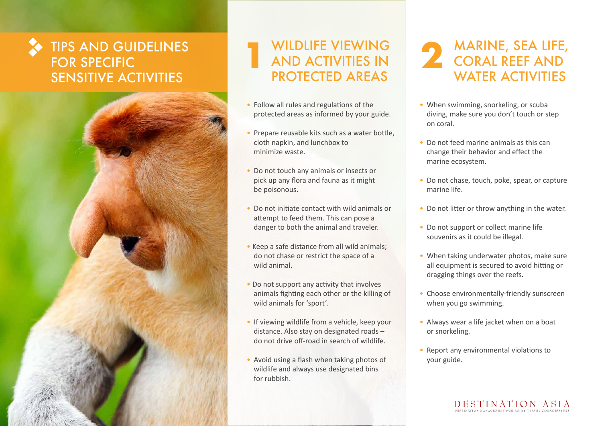## TIPS AND GUIDELINES FOR SPECIFIC SENSITIVE ACTIVITIES



#### WILDLIFE VIEWING AND ACTIVITIES IN PROTECTED AREAS **1**

- Follow all rules and regulations of the protected areas as informed by your guide.
- Prepare reusable kits such as a water bottle, cloth napkin, and lunchbox to minimize waste.
- Do not touch any animals or insects or pick up any flora and fauna as it might be poisonous.
- Do not initiate contact with wild animals or attempt to feed them. This can pose a danger to both the animal and traveler.
- Keep a safe distance from all wild animals; do not chase or restrict the space of a wild animal.
- Do not support any activity that involves animals fighting each other or the killing of wild animals for 'sport'.
- If viewing wildlife from a vehicle, keep your distance. Also stay on designated roads – do not drive off-road in search of wildlife.
- Avoid using a flash when taking photos of wildlife and always use designated bins for rubbish.

MARINE, SEA LIFE, CORAL REEF AND WATER ACTIVITIES **2**

- When swimming, snorkeling, or scuba diving, make sure you don't touch or step on coral.
- • Do not feed marine animals as this can change their behavior and effect the marine ecosystem.
- Do not chase, touch, poke, spear, or capture marine life.
- Do not litter or throw anything in the water.
- Do not support or collect marine life souvenirs as it could be illegal.
- When taking underwater photos, make sure all equipment is secured to avoid hitting or dragging things over the reefs.
- Choose environmentally-friendly sunscreen when you go swimming.
- Always wear a life jacket when on a boat or snorkeling.
- Report any environmental violations to your guide.